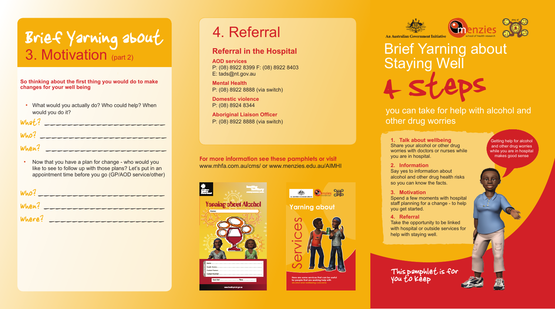

**Here are some services that can be useful for people that are seeking help with** 





**Yarning about**

**Staying Well** 4 Steps

**For more information see these pamphlets or visit** www.mhfa.com.au/cms/ or www.menzies.edu.au/AIMHI





Brief Yarning about



## you can take for help with alcohol and

other drug worries

#### **Referral in the Hospital**

**AOD services**  P: (08) 8922 8399 F: (08) 8922 8403 E: tads@nt.gov.au

**Mental Health**  P: (08) 8922 8888 (via switch)

**Domestic violence**  P: (08) 8924 8344

**Aboriginal Liaison Officer**  P: (08) 8922 8888 (via switch)

### Brief Yarning about 3. Motivation (part 2)

#### 4. Referral

**1. Talk about wellbeing** Share your alcohol or other drug worries with doctors or nurses while you are in hospital.

• Now that you have a plan for change - who would you like to see to follow up with those plans? Let's put in an appointment time before you go (GP/AOD service/other)

| Who?   |  |
|--------|--|
| When?  |  |
| Where? |  |

**2. Information**  Say yes to information about alcohol and other drug health risks

so you can know the facts. **3. Motivation** Spend a few moments with hospital

staff planning for a change - to help you get started.

**4. Referral** Take the opportunity to be linked with hospital or outside services for help with staying well.

Getting help for alcohol and other drug worries while you are in hospital makes good sense

This pamphlet is for you to keep



What? \_\_\_\_\_\_\_\_\_\_\_\_\_\_\_\_\_\_\_\_\_

Who? \_\_\_\_\_\_\_\_\_\_\_\_\_\_\_\_\_\_\_\_\_\_

 $When?$ 

**So thinking about the first thing you would do to make changes for your well being** 

• What would you actually do? Who could help? When would you do it?